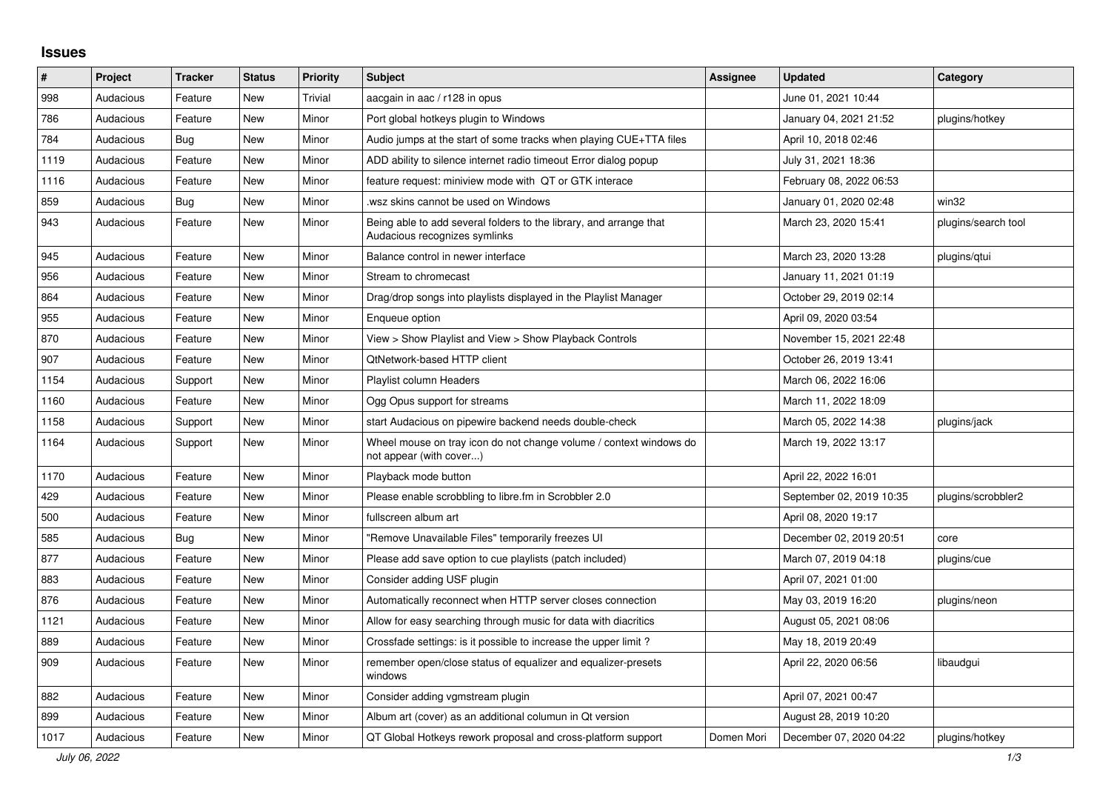## **Issues**

| ∦    | Project   | <b>Tracker</b> | <b>Status</b> | <b>Priority</b> | <b>Subject</b>                                                                                      | <b>Assignee</b> | <b>Updated</b>           | Category            |
|------|-----------|----------------|---------------|-----------------|-----------------------------------------------------------------------------------------------------|-----------------|--------------------------|---------------------|
| 998  | Audacious | Feature        | New           | Trivial         | aacgain in aac / r128 in opus                                                                       |                 | June 01, 2021 10:44      |                     |
| 786  | Audacious | Feature        | <b>New</b>    | Minor           | Port global hotkeys plugin to Windows                                                               |                 | January 04, 2021 21:52   | plugins/hotkey      |
| 784  | Audacious | <b>Bug</b>     | New           | Minor           | Audio jumps at the start of some tracks when playing CUE+TTA files                                  |                 | April 10, 2018 02:46     |                     |
| 1119 | Audacious | Feature        | New           | Minor           | ADD ability to silence internet radio timeout Error dialog popup                                    |                 | July 31, 2021 18:36      |                     |
| 1116 | Audacious | Feature        | <b>New</b>    | Minor           | feature request: miniview mode with QT or GTK interace                                              |                 | February 08, 2022 06:53  |                     |
| 859  | Audacious | <b>Bug</b>     | New           | Minor           | .wsz skins cannot be used on Windows                                                                |                 | January 01, 2020 02:48   | win32               |
| 943  | Audacious | Feature        | New           | Minor           | Being able to add several folders to the library, and arrange that<br>Audacious recognizes symlinks |                 | March 23, 2020 15:41     | plugins/search tool |
| 945  | Audacious | Feature        | New           | Minor           | Balance control in newer interface                                                                  |                 | March 23, 2020 13:28     | plugins/gtui        |
| 956  | Audacious | Feature        | <b>New</b>    | Minor           | Stream to chromecast                                                                                |                 | January 11, 2021 01:19   |                     |
| 864  | Audacious | Feature        | <b>New</b>    | Minor           | Drag/drop songs into playlists displayed in the Playlist Manager                                    |                 | October 29, 2019 02:14   |                     |
| 955  | Audacious | Feature        | <b>New</b>    | Minor           | Enqueue option                                                                                      |                 | April 09, 2020 03:54     |                     |
| 870  | Audacious | Feature        | <b>New</b>    | Minor           | View > Show Playlist and View > Show Playback Controls                                              |                 | November 15, 2021 22:48  |                     |
| 907  | Audacious | Feature        | New           | Minor           | <b>QtNetwork-based HTTP client</b>                                                                  |                 | October 26, 2019 13:41   |                     |
| 1154 | Audacious | Support        | <b>New</b>    | Minor           | Playlist column Headers                                                                             |                 | March 06, 2022 16:06     |                     |
| 1160 | Audacious | Feature        | New           | Minor           | Ogg Opus support for streams                                                                        |                 | March 11, 2022 18:09     |                     |
| 1158 | Audacious | Support        | New           | Minor           | start Audacious on pipewire backend needs double-check                                              |                 | March 05, 2022 14:38     | plugins/jack        |
| 1164 | Audacious | Support        | New           | Minor           | Wheel mouse on tray icon do not change volume / context windows do<br>not appear (with cover)       |                 | March 19, 2022 13:17     |                     |
| 1170 | Audacious | Feature        | <b>New</b>    | Minor           | Playback mode button                                                                                |                 | April 22, 2022 16:01     |                     |
| 429  | Audacious | Feature        | <b>New</b>    | Minor           | Please enable scrobbling to libre.fm in Scrobbler 2.0                                               |                 | September 02, 2019 10:35 | plugins/scrobbler2  |
| 500  | Audacious | Feature        | <b>New</b>    | Minor           | fullscreen album art                                                                                |                 | April 08, 2020 19:17     |                     |
| 585  | Audacious | Bug            | <b>New</b>    | Minor           | "Remove Unavailable Files" temporarily freezes UI                                                   |                 | December 02, 2019 20:51  | core                |
| 877  | Audacious | Feature        | <b>New</b>    | Minor           | Please add save option to cue playlists (patch included)                                            |                 | March 07, 2019 04:18     | plugins/cue         |
| 883  | Audacious | Feature        | New           | Minor           | Consider adding USF plugin                                                                          |                 | April 07, 2021 01:00     |                     |
| 876  | Audacious | Feature        | <b>New</b>    | Minor           | Automatically reconnect when HTTP server closes connection                                          |                 | May 03, 2019 16:20       | plugins/neon        |
| 1121 | Audacious | Feature        | New           | Minor           | Allow for easy searching through music for data with diacritics                                     |                 | August 05, 2021 08:06    |                     |
| 889  | Audacious | Feature        | New           | Minor           | Crossfade settings: is it possible to increase the upper limit?                                     |                 | May 18, 2019 20:49       |                     |
| 909  | Audacious | Feature        | <b>New</b>    | Minor           | remember open/close status of equalizer and equalizer-presets<br>windows                            |                 | April 22, 2020 06:56     | libaudgui           |
| 882  | Audacious | Feature        | New           | Minor           | Consider adding vgmstream plugin                                                                    |                 | April 07, 2021 00:47     |                     |
| 899  | Audacious | Feature        | <b>New</b>    | Minor           | Album art (cover) as an additional columun in Qt version                                            |                 | August 28, 2019 10:20    |                     |
| 1017 | Audacious | Feature        | <b>New</b>    | Minor           | QT Global Hotkeys rework proposal and cross-platform support                                        | Domen Mori      | December 07, 2020 04:22  | plugins/hotkey      |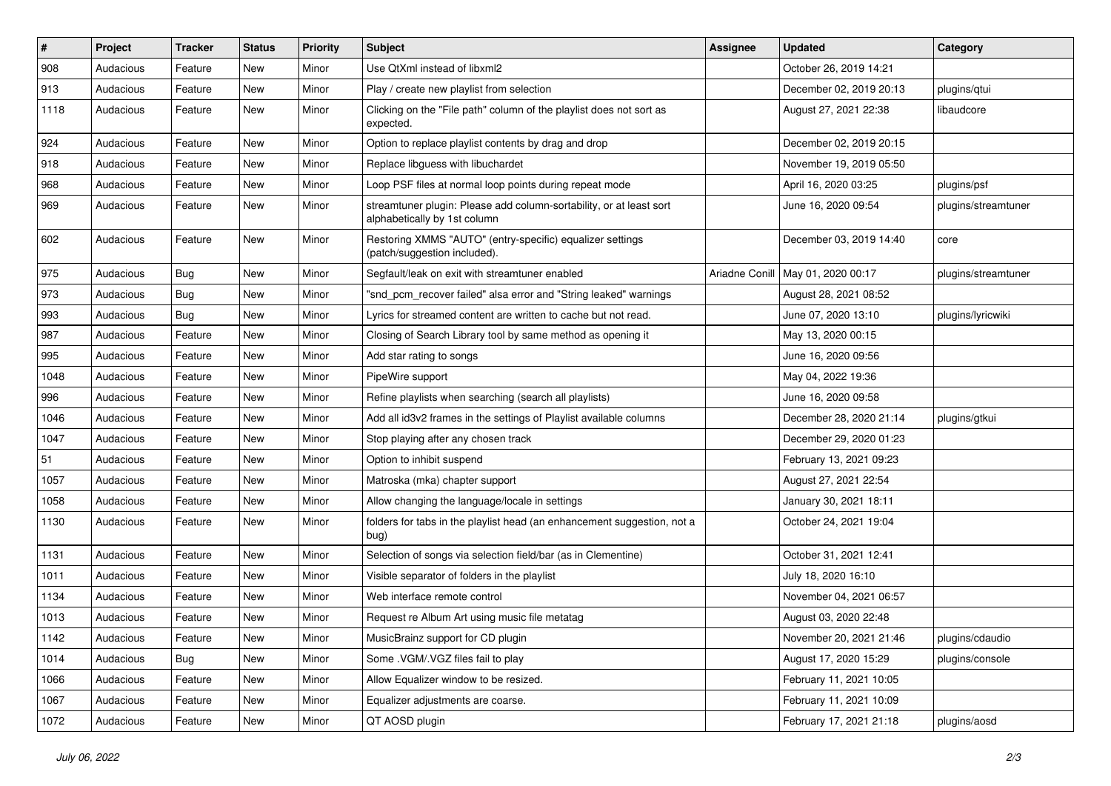| #    | Project   | <b>Tracker</b> | <b>Status</b> | <b>Priority</b> | <b>Subject</b>                                                                                      | <b>Assignee</b> | <b>Updated</b>                      | Category            |
|------|-----------|----------------|---------------|-----------------|-----------------------------------------------------------------------------------------------------|-----------------|-------------------------------------|---------------------|
| 908  | Audacious | Feature        | New           | Minor           | Use QtXml instead of libxml2                                                                        |                 | October 26, 2019 14:21              |                     |
| 913  | Audacious | Feature        | <b>New</b>    | Minor           | Play / create new playlist from selection                                                           |                 | December 02, 2019 20:13             | plugins/gtui        |
| 1118 | Audacious | Feature        | New           | Minor           | Clicking on the "File path" column of the playlist does not sort as<br>expected.                    |                 | August 27, 2021 22:38               | libaudcore          |
| 924  | Audacious | Feature        | New           | Minor           | Option to replace playlist contents by drag and drop                                                |                 | December 02, 2019 20:15             |                     |
| 918  | Audacious | Feature        | New           | Minor           | Replace libguess with libuchardet                                                                   |                 | November 19, 2019 05:50             |                     |
| 968  | Audacious | Feature        | New           | Minor           | Loop PSF files at normal loop points during repeat mode                                             |                 | April 16, 2020 03:25                | plugins/psf         |
| 969  | Audacious | Feature        | New           | Minor           | streamtuner plugin: Please add column-sortability, or at least sort<br>alphabetically by 1st column |                 | June 16, 2020 09:54                 | plugins/streamtuner |
| 602  | Audacious | Feature        | New           | Minor           | Restoring XMMS "AUTO" (entry-specific) equalizer settings<br>(patch/suggestion included).           |                 | December 03, 2019 14:40             | core                |
| 975  | Audacious | Bug            | New           | Minor           | Segfault/leak on exit with streamtuner enabled                                                      |                 | Ariadne Conill   May 01, 2020 00:17 | plugins/streamtuner |
| 973  | Audacious | Bug            | <b>New</b>    | Minor           | "snd_pcm_recover failed" alsa error and "String leaked" warnings                                    |                 | August 28, 2021 08:52               |                     |
| 993  | Audacious | Bug            | New           | Minor           | Lyrics for streamed content are written to cache but not read.                                      |                 | June 07, 2020 13:10                 | plugins/lyricwiki   |
| 987  | Audacious | Feature        | New           | Minor           | Closing of Search Library tool by same method as opening it                                         |                 | May 13, 2020 00:15                  |                     |
| 995  | Audacious | Feature        | New           | Minor           | Add star rating to songs                                                                            |                 | June 16, 2020 09:56                 |                     |
| 1048 | Audacious | Feature        | New           | Minor           | PipeWire support                                                                                    |                 | May 04, 2022 19:36                  |                     |
| 996  | Audacious | Feature        | New           | Minor           | Refine playlists when searching (search all playlists)                                              |                 | June 16, 2020 09:58                 |                     |
| 1046 | Audacious | Feature        | New           | Minor           | Add all id3v2 frames in the settings of Playlist available columns                                  |                 | December 28, 2020 21:14             | plugins/gtkui       |
| 1047 | Audacious | Feature        | New           | Minor           | Stop playing after any chosen track                                                                 |                 | December 29, 2020 01:23             |                     |
| 51   | Audacious | Feature        | New           | Minor           | Option to inhibit suspend                                                                           |                 | February 13, 2021 09:23             |                     |
| 1057 | Audacious | Feature        | New           | Minor           | Matroska (mka) chapter support                                                                      |                 | August 27, 2021 22:54               |                     |
| 1058 | Audacious | Feature        | <b>New</b>    | Minor           | Allow changing the language/locale in settings                                                      |                 | January 30, 2021 18:11              |                     |
| 1130 | Audacious | Feature        | New           | Minor           | folders for tabs in the playlist head (an enhancement suggestion, not a<br>bug)                     |                 | October 24, 2021 19:04              |                     |
| 1131 | Audacious | Feature        | New           | Minor           | Selection of songs via selection field/bar (as in Clementine)                                       |                 | October 31, 2021 12:41              |                     |
| 1011 | Audacious | Feature        | New           | Minor           | Visible separator of folders in the playlist                                                        |                 | July 18, 2020 16:10                 |                     |
| 1134 | Audacious | Feature        | New           | Minor           | Web interface remote control                                                                        |                 | November 04, 2021 06:57             |                     |
| 1013 | Audacious | Feature        | New           | Minor           | Request re Album Art using music file metatag                                                       |                 | August 03, 2020 22:48               |                     |
| 1142 | Audacious | Feature        | New           | Minor           | MusicBrainz support for CD plugin                                                                   |                 | November 20, 2021 21:46             | plugins/cdaudio     |
| 1014 | Audacious | <b>Bug</b>     | New           | Minor           | Some .VGM/.VGZ files fail to play                                                                   |                 | August 17, 2020 15:29               | plugins/console     |
| 1066 | Audacious | Feature        | New           | Minor           | Allow Equalizer window to be resized.                                                               |                 | February 11, 2021 10:05             |                     |
| 1067 | Audacious | Feature        | New           | Minor           | Equalizer adjustments are coarse.                                                                   |                 | February 11, 2021 10:09             |                     |
| 1072 | Audacious | Feature        | New           | Minor           | QT AOSD plugin                                                                                      |                 | February 17, 2021 21:18             | plugins/aosd        |